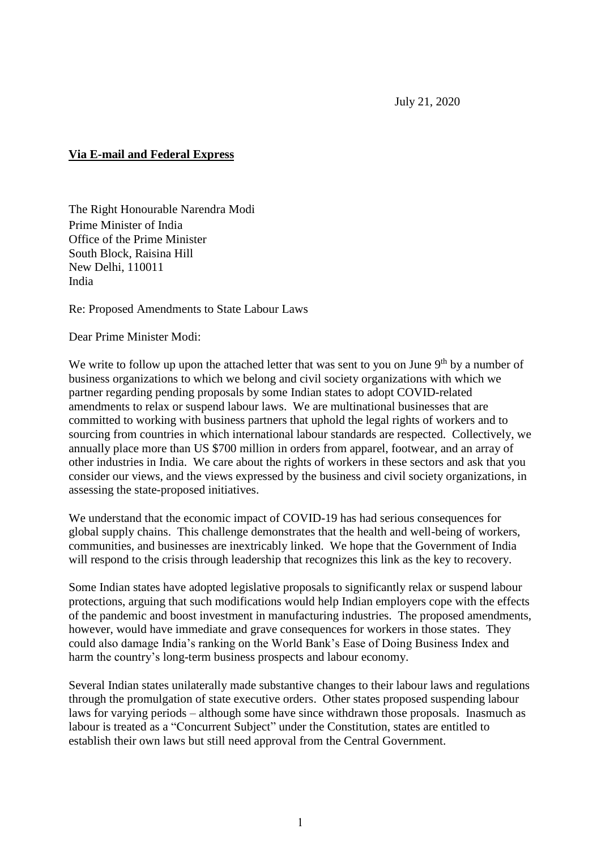July 21, 2020

## **Via E-mail and Federal Express**

The Right Honourable Narendra Modi Prime Minister of India Office of the Prime Minister South Block, Raisina Hill New Delhi, 110011 India

Re: Proposed Amendments to State Labour Laws

Dear Prime Minister Modi:

We write to follow up upon the attached letter that was sent to you on June 9<sup>th</sup> by a number of business organizations to which we belong and civil society organizations with which we partner regarding pending proposals by some Indian states to adopt COVID-related amendments to relax or suspend labour laws. We are multinational businesses that are committed to working with business partners that uphold the legal rights of workers and to sourcing from countries in which international labour standards are respected. Collectively, we annually place more than US \$700 million in orders from apparel, footwear, and an array of other industries in India. We care about the rights of workers in these sectors and ask that you consider our views, and the views expressed by the business and civil society organizations, in assessing the state-proposed initiatives.

We understand that the economic impact of COVID-19 has had serious consequences for global supply chains. This challenge demonstrates that the health and well-being of workers, communities, and businesses are inextricably linked. We hope that the Government of India will respond to the crisis through leadership that recognizes this link as the key to recovery.

Some Indian states have adopted legislative proposals to significantly relax or suspend labour protections, arguing that such modifications would help Indian employers cope with the effects of the pandemic and boost investment in manufacturing industries. The proposed amendments, however, would have immediate and grave consequences for workers in those states. They could also damage India's ranking on the World Bank's Ease of Doing Business Index and harm the country's long-term business prospects and labour economy.

Several Indian states unilaterally made substantive changes to their labour laws and regulations through the promulgation of state executive orders. Other states proposed suspending labour laws for varying periods – although some have since withdrawn those proposals. Inasmuch as labour is treated as a "Concurrent Subject" under the Constitution, states are entitled to establish their own laws but still need approval from the Central Government.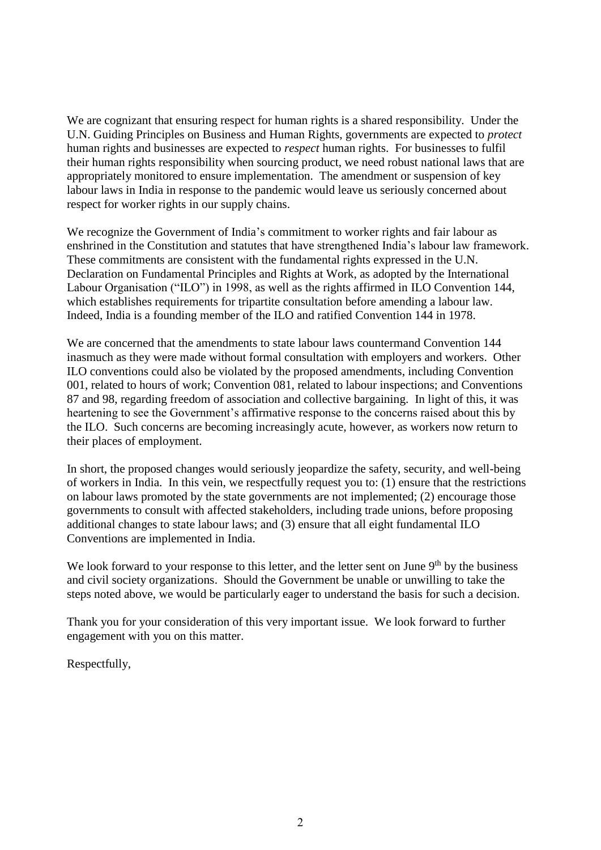We are cognizant that ensuring respect for human rights is a shared responsibility. Under the U.N. Guiding Principles on Business and Human Rights, governments are expected to *protect*  human rights and businesses are expected to *respect* human rights. For businesses to fulfil their human rights responsibility when sourcing product, we need robust national laws that are appropriately monitored to ensure implementation. The amendment or suspension of key labour laws in India in response to the pandemic would leave us seriously concerned about respect for worker rights in our supply chains.

We recognize the Government of India's commitment to worker rights and fair labour as enshrined in the Constitution and statutes that have strengthened India's labour law framework. These commitments are consistent with the fundamental rights expressed in the U.N. Declaration on Fundamental Principles and Rights at Work, as adopted by the International Labour Organisation ("ILO") in 1998, as well as the rights affirmed in ILO Convention 144, which establishes requirements for tripartite consultation before amending a labour law. Indeed, India is a founding member of the ILO and ratified Convention 144 in 1978.

We are concerned that the amendments to state labour laws countermand Convention 144 inasmuch as they were made without formal consultation with employers and workers. Other ILO conventions could also be violated by the proposed amendments, including Convention 001, related to hours of work; Convention 081, related to labour inspections; and Conventions 87 and 98, regarding freedom of association and collective bargaining. In light of this, it was heartening to see the Government's affirmative response to the concerns raised about this by the ILO. Such concerns are becoming increasingly acute, however, as workers now return to their places of employment.

In short, the proposed changes would seriously jeopardize the safety, security, and well-being of workers in India. In this vein, we respectfully request you to: (1) ensure that the restrictions on labour laws promoted by the state governments are not implemented; (2) encourage those governments to consult with affected stakeholders, including trade unions, before proposing additional changes to state labour laws; and (3) ensure that all eight fundamental ILO Conventions are implemented in India.

We look forward to your response to this letter, and the letter sent on June  $9<sup>th</sup>$  by the business and civil society organizations. Should the Government be unable or unwilling to take the steps noted above, we would be particularly eager to understand the basis for such a decision.

Thank you for your consideration of this very important issue. We look forward to further engagement with you on this matter.

Respectfully,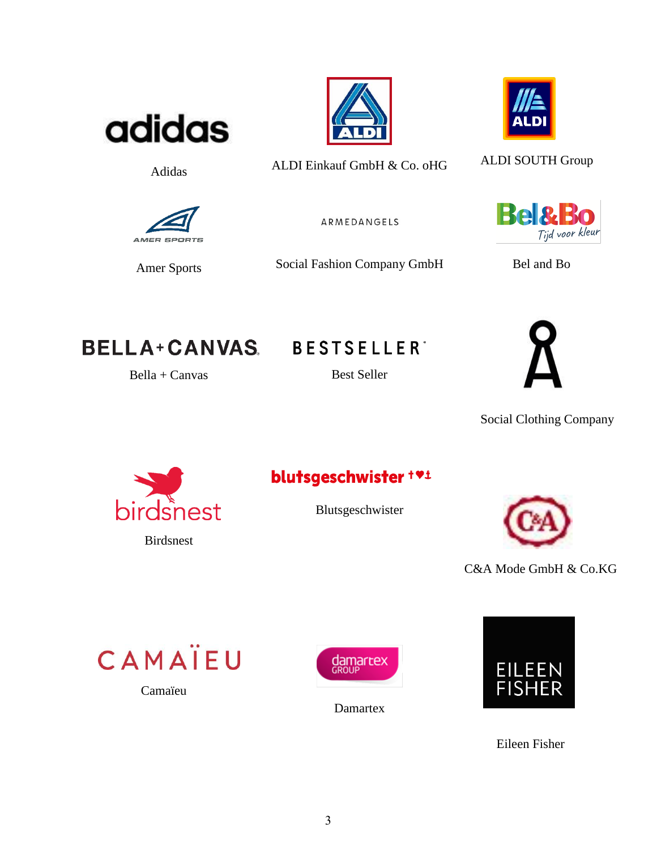

**Adidas** 

AMER SPOR

**Amer Sports** 





ALDI Einkauf GmbH & Co. oHG

ARMEDANGELS

Social Fashion Company GmbH



**ALDI SOUTH Group** 



Bel and Bo

**BELLA+CANVAS** 

 $Bella + Canvas$ 

**BESTSELLER**\*

**Best Seller** 



**Social Clothing Company** 



## blutsgeschwister + vi

Blutsgeschwister



C&A Mode GmbH & Co.KG

CAMAÏEU

Camaïeu



Damartex



Eileen Fisher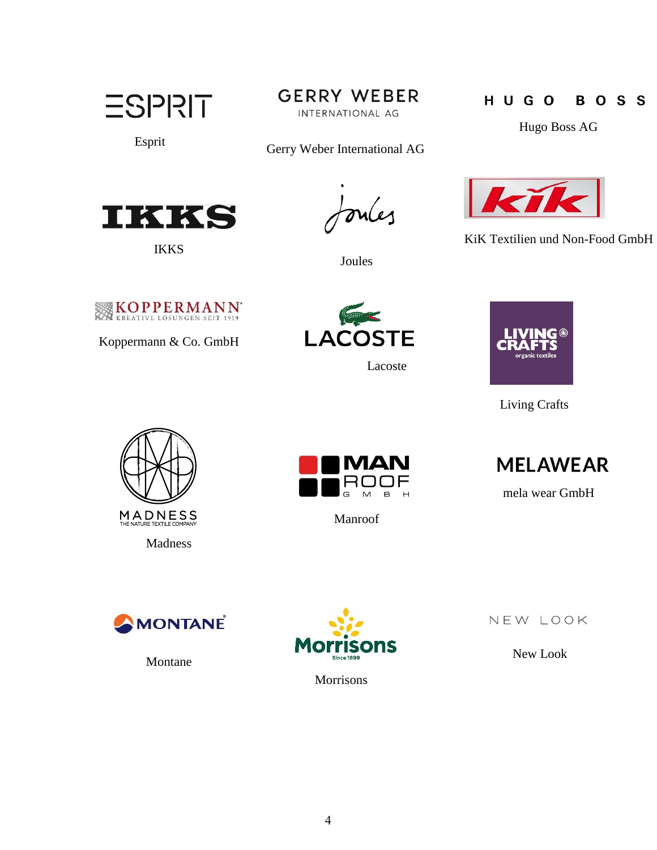**ESPRIT** 

**GERRY WEBER** 

INTERNATIONAL AG

Esprit Gerry Weber International AG



IKKS

mles

Joules

## H U G O **BOSS**

Hugo Boss AG



KiK Textilien und Non-Food GmbH



Koppermann & Co. GmbH



Lacoste



Living Crafts





Manroof



mela wear GmbH



Montane



Morrisons

NEW LOOK

New Look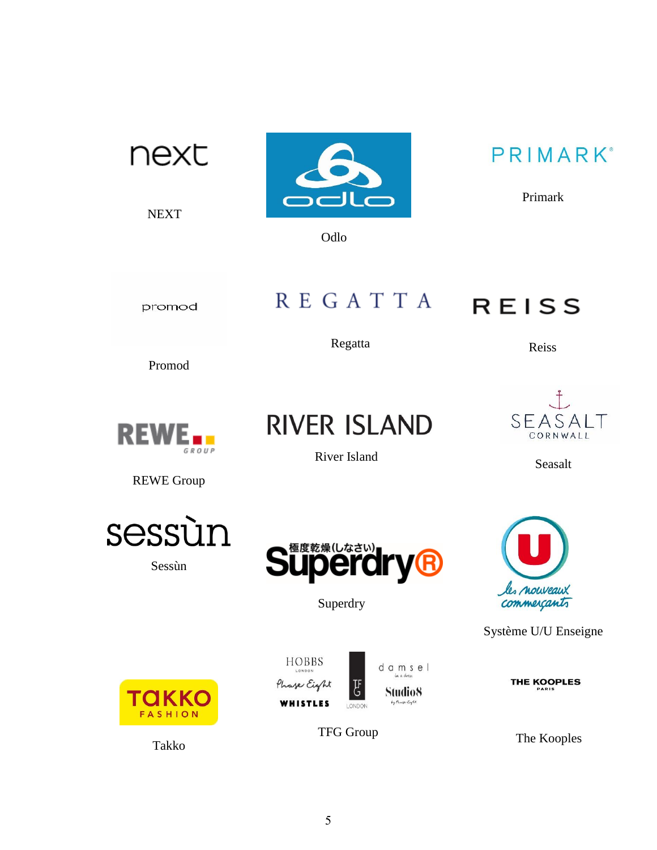| next<br><b>NEXT</b>                      | Odlo                                                                                                           | PRIMARK®<br>Primark           |
|------------------------------------------|----------------------------------------------------------------------------------------------------------------|-------------------------------|
| promod                                   | <b>REGATTA</b>                                                                                                 | <b>REISS</b>                  |
| Promod                                   | Regatta                                                                                                        | Reiss                         |
| <b>REW</b><br>GROUP<br><b>REWE Group</b> | <b>RIVER ISLAND</b><br>River Island                                                                            | SEASAI<br>CORNWALL<br>Seasalt |
| sessùn<br>Sessùn                         | י−−<br>Superdry                                                                                                | les nouveaux<br>commerçants   |
|                                          |                                                                                                                | Système U/U Enseigne          |
| TAKKO<br><b>FASHION</b>                  | HOBBS<br>damsel<br>LONDON<br>in a dress<br>Phase Eight<br>F<br>Studio8<br>by Phase Eight<br>WHISTLES<br>LONDON | <b>THE KOOPLES</b><br>PARIS   |
| Takko                                    | <b>TFG Group</b>                                                                                               | The Kooples                   |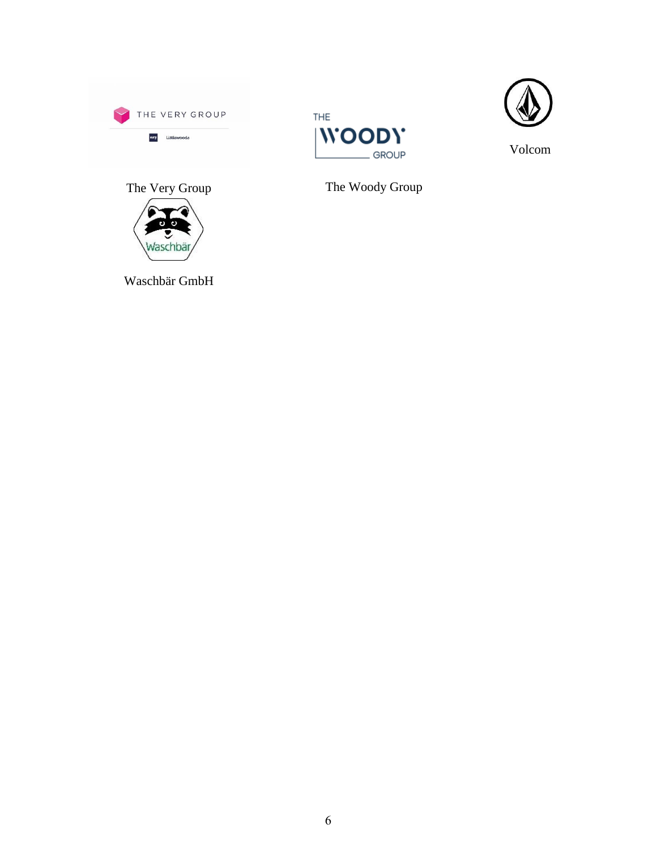





Volcom

The Woody Group





Waschbär GmbH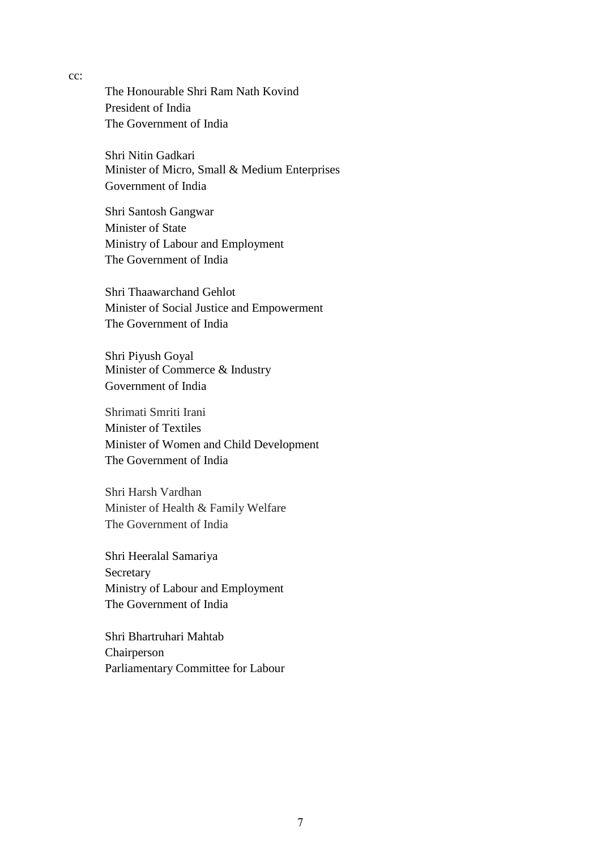The Honourable Shri Ram Nath Kovind President of India The Government of India

Shri Nitin Gadkari Minister of Micro, Small & Medium Enterprises Government of India

Shri Santosh Gangwar Minister of State Ministry of Labour and Employment The Government of India

Shri Thaawarchand Gehlot Minister of Social Justice and Empowerment The Government of India

Shri Piyush Goyal Minister of Commerce & Industry Government of India

Shrimati Smriti Irani Minister of Textiles Minister of Women and Child Development The Government of India

Shri Harsh Vardhan Minister of Health & Family Welfare The Government of India

Shri Heeralal Samariya Secretary Ministry of Labour and Employment The Government of India

Shri Bhartruhari Mahtab Chairperson Parliamentary Committee for Labour

cc: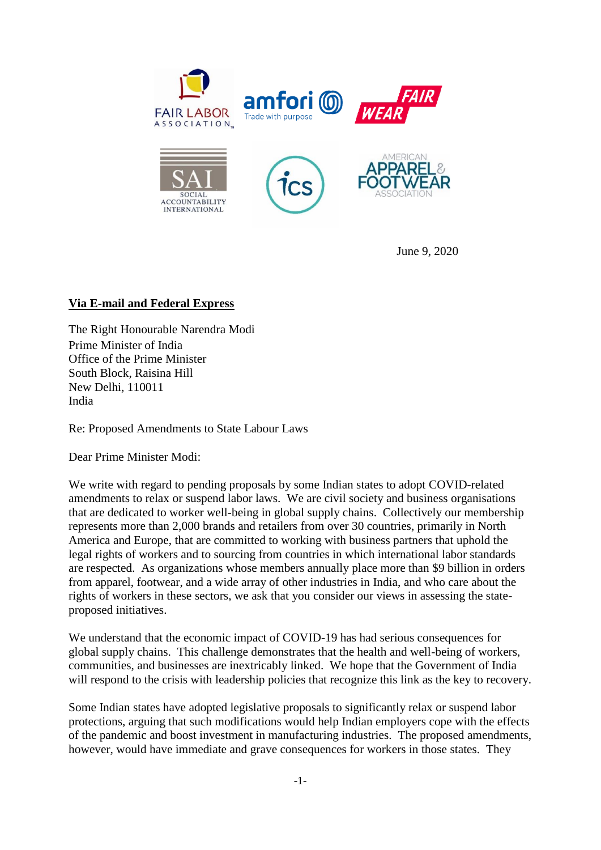

June 9, 2020

## **Via E-mail and Federal Express**

The Right Honourable Narendra Modi Prime Minister of India Office of the Prime Minister South Block, Raisina Hill New Delhi, 110011 India

Re: Proposed Amendments to State Labour Laws

Dear Prime Minister Modi:

We write with regard to pending proposals by some Indian states to adopt COVID-related amendments to relax or suspend labor laws. We are civil society and business organisations that are dedicated to worker well-being in global supply chains. Collectively our membership represents more than 2,000 brands and retailers from over 30 countries, primarily in North America and Europe, that are committed to working with business partners that uphold the legal rights of workers and to sourcing from countries in which international labor standards are respected. As organizations whose members annually place more than \$9 billion in orders from apparel, footwear, and a wide array of other industries in India, and who care about the rights of workers in these sectors, we ask that you consider our views in assessing the stateproposed initiatives.

We understand that the economic impact of COVID-19 has had serious consequences for global supply chains. This challenge demonstrates that the health and well-being of workers, communities, and businesses are inextricably linked. We hope that the Government of India will respond to the crisis with leadership policies that recognize this link as the key to recovery.

Some Indian states have adopted legislative proposals to significantly relax or suspend labor protections, arguing that such modifications would help Indian employers cope with the effects of the pandemic and boost investment in manufacturing industries. The proposed amendments, however, would have immediate and grave consequences for workers in those states. They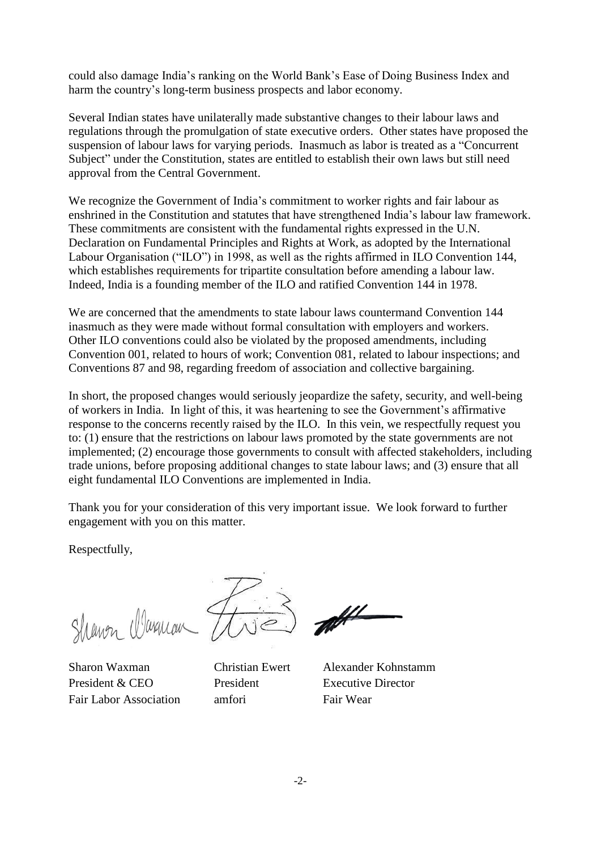could also damage India's ranking on the World Bank's Ease of Doing Business Index and harm the country's long-term business prospects and labor economy.

Several Indian states have unilaterally made substantive changes to their labour laws and regulations through the promulgation of state executive orders. Other states have proposed the suspension of labour laws for varying periods. Inasmuch as labor is treated as a "Concurrent Subject" under the Constitution, states are entitled to establish their own laws but still need approval from the Central Government.

We recognize the Government of India's commitment to worker rights and fair labour as enshrined in the Constitution and statutes that have strengthened India's labour law framework. These commitments are consistent with the fundamental rights expressed in the U.N. Declaration on Fundamental Principles and Rights at Work, as adopted by the International Labour Organisation ("ILO") in 1998, as well as the rights affirmed in ILO Convention 144, which establishes requirements for tripartite consultation before amending a labour law. Indeed, India is a founding member of the ILO and ratified Convention 144 in 1978.

We are concerned that the amendments to state labour laws countermand Convention 144 inasmuch as they were made without formal consultation with employers and workers. Other ILO conventions could also be violated by the proposed amendments, including Convention 001, related to hours of work; Convention 081, related to labour inspections; and Conventions 87 and 98, regarding freedom of association and collective bargaining.

In short, the proposed changes would seriously jeopardize the safety, security, and well-being of workers in India. In light of this, it was heartening to see the Government's affirmative response to the concerns recently raised by the ILO. In this vein, we respectfully request you to: (1) ensure that the restrictions on labour laws promoted by the state governments are not implemented; (2) encourage those governments to consult with affected stakeholders, including trade unions, before proposing additional changes to state labour laws; and (3) ensure that all eight fundamental ILO Conventions are implemented in India.

Thank you for your consideration of this very important issue. We look forward to further engagement with you on this matter.

Respectfully,

Shewen Waxman

President & CEO President Executive Director Fair Labor Association amfori Fair Wear

Sharon Waxman Christian Ewert Alexander Kohnstamm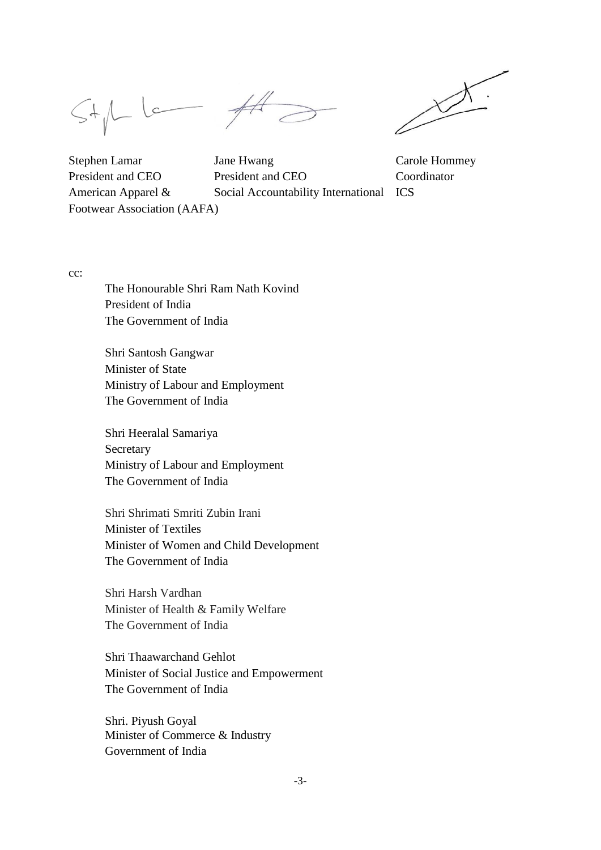$St/L$ 



Footwear Association (AAFA)

Stephen Lamar Jane Hwang Carole Hommey President and CEO President and CEO Coordinator American Apparel & Social Accountability International ICS

cc:

The Honourable Shri Ram Nath Kovind President of India The Government of India

Shri Santosh Gangwar Minister of State Ministry of Labour and Employment The Government of India

Shri Heeralal Samariya Secretary Ministry of Labour and Employment The Government of India

Shri Shrimati Smriti Zubin Irani Minister of Textiles Minister of Women and Child Development The Government of India

Shri Harsh Vardhan Minister of Health & Family Welfare The Government of India

Shri Thaawarchand Gehlot Minister of Social Justice and Empowerment The Government of India

Shri. Piyush Goyal Minister of Commerce & Industry Government of India